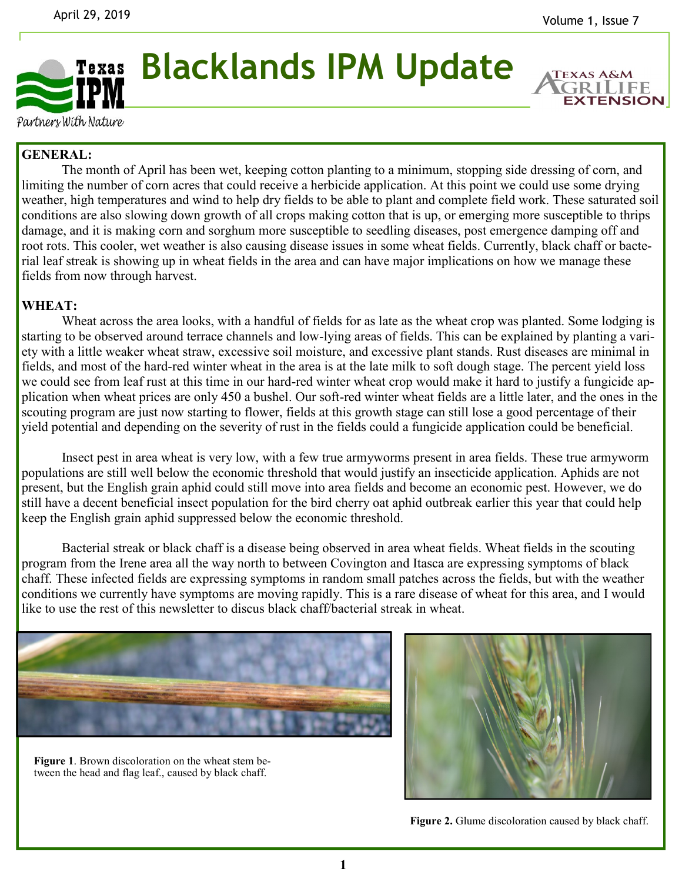**EXTENSION** 



**Blacklands IPM Update**

Partners With Nature

## **GENERAL:**

The month of April has been wet, keeping cotton planting to a minimum, stopping side dressing of corn, and limiting the number of corn acres that could receive a herbicide application. At this point we could use some drying weather, high temperatures and wind to help dry fields to be able to plant and complete field work. These saturated soil conditions are also slowing down growth of all crops making cotton that is up, or emerging more susceptible to thrips damage, and it is making corn and sorghum more susceptible to seedling diseases, post emergence damping off and root rots. This cooler, wet weather is also causing disease issues in some wheat fields. Currently, black chaff or bacterial leaf streak is showing up in wheat fields in the area and can have major implications on how we manage these fields from now through harvest.

## **WHEAT:**

Wheat across the area looks, with a handful of fields for as late as the wheat crop was planted. Some lodging is starting to be observed around terrace channels and low-lying areas of fields. This can be explained by planting a variety with a little weaker wheat straw, excessive soil moisture, and excessive plant stands. Rust diseases are minimal in fields, and most of the hard-red winter wheat in the area is at the late milk to soft dough stage. The percent yield loss we could see from leaf rust at this time in our hard-red winter wheat crop would make it hard to justify a fungicide application when wheat prices are only 450 a bushel. Our soft-red winter wheat fields are a little later, and the ones in the scouting program are just now starting to flower, fields at this growth stage can still lose a good percentage of their yield potential and depending on the severity of rust in the fields could a fungicide application could be beneficial.

Insect pest in area wheat is very low, with a few true armyworms present in area fields. These true armyworm populations are still well below the economic threshold that would justify an insecticide application. Aphids are not present, but the English grain aphid could still move into area fields and become an economic pest. However, we do still have a decent beneficial insect population for the bird cherry oat aphid outbreak earlier this year that could help keep the English grain aphid suppressed below the economic threshold.

Bacterial streak or black chaff is a disease being observed in area wheat fields. Wheat fields in the scouting program from the Irene area all the way north to between Covington and Itasca are expressing symptoms of black chaff. These infected fields are expressing symptoms in random small patches across the fields, but with the weather conditions we currently have symptoms are moving rapidly. This is a rare disease of wheat for this area, and I would like to use the rest of this newsletter to discus black chaff/bacterial streak in wheat.



**Figure 1**. Brown discoloration on the wheat stem between the head and flag leaf., caused by black chaff.



Figure 2. Glume discoloration caused by black chaff.